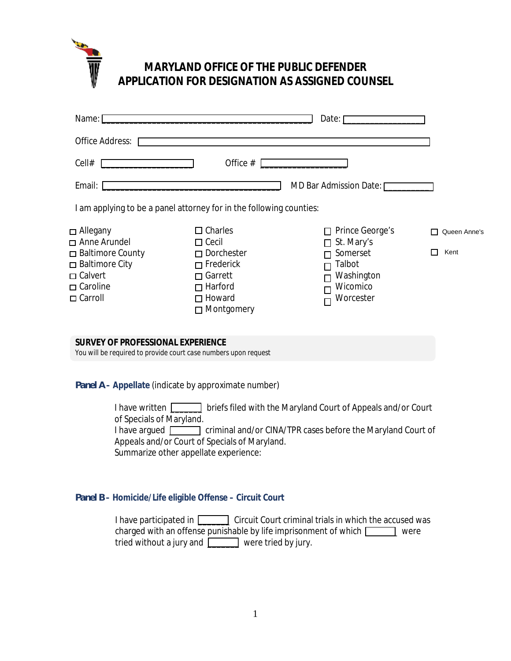

# **MARYLAND OFFICE OF THE PUBLIC DEFENDER APPLICATION FOR DESIGNATION AS ASSIGNED COUNSEL**

| Name: [                                                                                            | Date:                                                                                         |                                                           |              |  |  |
|----------------------------------------------------------------------------------------------------|-----------------------------------------------------------------------------------------------|-----------------------------------------------------------|--------------|--|--|
| <b>Office Address:</b>                                                                             |                                                                                               |                                                           |              |  |  |
| Cell#                                                                                              | Office #                                                                                      |                                                           |              |  |  |
| Email:                                                                                             |                                                                                               | MD Bar Admission Date:                                    |              |  |  |
|                                                                                                    | I am applying to be a panel attorney for in the following counties:                           |                                                           |              |  |  |
| $\Box$ Allegany<br>Anne Arundel                                                                    | $\Box$ Charles<br>$\Box$ Cecil                                                                | Prince George's<br>St. Mary's<br>п                        | Queen Anne's |  |  |
| □ Baltimore County<br>$\Box$ Baltimore City<br>$\Box$ Calvert<br>$\Box$ Caroline<br>$\Box$ Carroll | $\Box$ Dorchester<br>$\Box$ Frederick<br>Garrett<br>$\Box$<br>$\Box$ Harford<br>$\Box$ Howard | Somerset<br>Talbot<br>Washington<br>Wicomico<br>Worcester | Kent         |  |  |
|                                                                                                    | $\Box$ Montgomery                                                                             |                                                           |              |  |  |
| SURVEY OF PROFESSIONAL EXPERIENCE                                                                  | You will be required to provide court case numbers upon request                               |                                                           |              |  |  |
|                                                                                                    |                                                                                               |                                                           |              |  |  |

*Panel A* **– Appellate** (indicate by approximate number)

I have written **I** ariefs filed with the Maryland Court of Appeals and/or Court of Specials of Maryland. I have argued ciminal and/or CINA/TPR cases before the Maryland Court of

Appeals and/or Court of Specials of Maryland. Summarize other appellate experience:

# *Panel B* **– Homicide/Life eligible Offense – Circuit Court**

I have participated in **EXECUTE:** Circuit Court criminal trials in which the accused was charged with an offense punishable by life imprisonment of which were tried without a jury and **wave a** were tried by jury.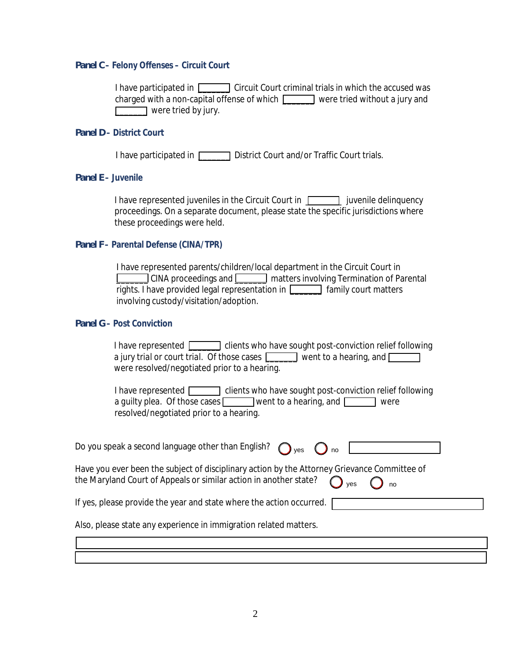## *Panel C* **– Felony Offenses – Circuit Court**

I have participated in **EXECUTE:** Circuit Court criminal trials in which the accused was charged with a non-capital offense of which **[1000 ]** were tried without a jury and were tried by jury.

#### *Panel D* **– District Court**

I have participated in **District Court and/or Traffic Court trials.** 

## *Panel E* **– Juvenile**

I have represented juveniles in the Circuit Court in  $\Gamma$   $\Gamma$  iuvenile delinquency proceedings. On a separate document, please state the specific jurisdictions where these proceedings were held.

## *Panel F* **– Parental Defense (CINA/TPR)**

I have represented parents/children/local department in the Circuit Court in \_\_\_\_\_\_\_ CINA proceedings and \_\_\_\_\_\_\_ matters involving Termination of Parental rights. I have provided legal representation in  $\Box$  family court matters involving custody/visitation/adoption.

## *Panel G* **– Post Conviction**

| a jury trial or court trial. Of those cases<br>went to a hearing, and $\Box$ |  |  |  |  |
|------------------------------------------------------------------------------|--|--|--|--|
| were resolved/negotiated prior to a hearing.                                 |  |  |  |  |
|                                                                              |  |  |  |  |

| I have represented [                    | clients who have sought post-conviction relief following |
|-----------------------------------------|----------------------------------------------------------|
| a quilty plea. Of those cases $\square$ | went to a hearing, and $\Box$<br>were                    |
| resolved/negotiated prior to a hearing. |                                                          |

| Do you speak a second language other than English? $\bigcap_{\text{ves}}$ $\bigcap_{\text{no}}$ |  | $\cdot$ no |  |
|-------------------------------------------------------------------------------------------------|--|------------|--|
|-------------------------------------------------------------------------------------------------|--|------------|--|

Have you ever been the subject of disciplinary action by the Attorney Grievance Committee of the Maryland Court of Appeals or similar action in another state?  $\int$  yes  $\bigcap$  no

If yes, please provide the year and state where the action occurred. |

Also, please state any experience in immigration related matters.